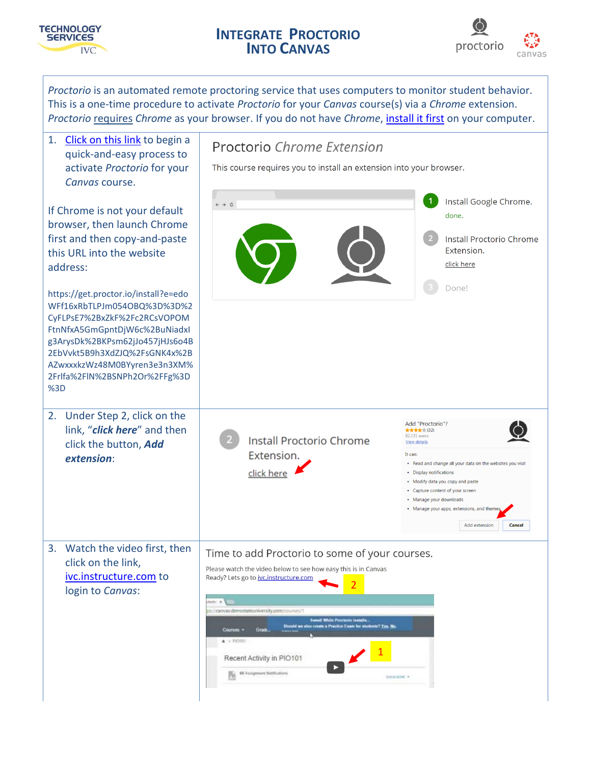

## **INTEGRATE PROCTORIO INTO CANVAS**